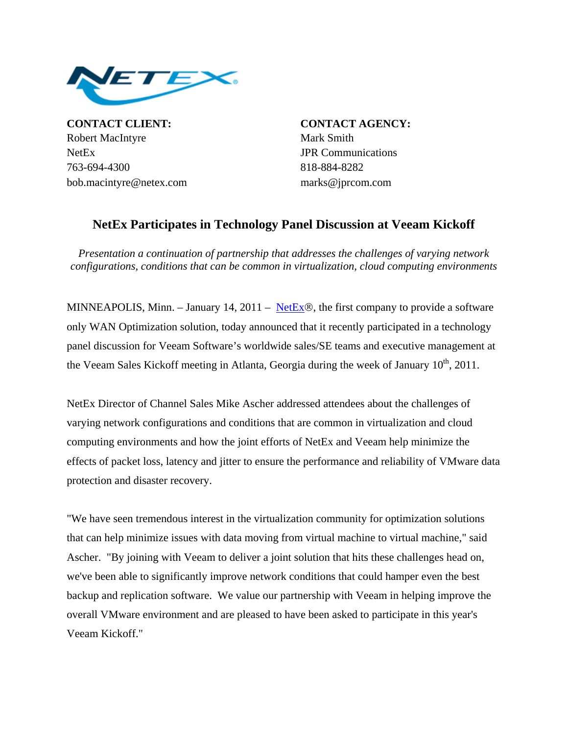

**CONTACT CLIENT: CONTACT AGENCY:** Robert MacIntyre Mark Smith NetEx JPR Communications 763-694-4300 818-884-8282 bob.macintyre@netex.com marks@jprcom.com

## **NetEx Participates in Technology Panel Discussion at Veeam Kickoff**

*Presentation a continuation of partnership that addresses the challenges of varying network configurations, conditions that can be common in virtualization, cloud computing environments*

MINNEAPOLIS, Minn. – January 14, 2011 – [NetEx](http://www.netex.com/)®, the first company to provide a software only WAN Optimization solution, today announced that it recently participated in a technology panel discussion for Veeam Software's worldwide sales/SE teams and executive management at the Veeam Sales Kickoff meeting in Atlanta, Georgia during the week of January 10<sup>th</sup>, 2011.

NetEx Director of Channel Sales Mike Ascher addressed attendees about the challenges of varying network configurations and conditions that are common in virtualization and cloud computing environments and how the joint efforts of NetEx and Veeam help minimize the effects of packet loss, latency and jitter to ensure the performance and reliability of VMware data protection and disaster recovery.

"We have seen tremendous interest in the virtualization community for optimization solutions that can help minimize issues with data moving from virtual machine to virtual machine," said Ascher. "By joining with Veeam to deliver a joint solution that hits these challenges head on, we've been able to significantly improve network conditions that could hamper even the best backup and replication software. We value our partnership with Veeam in helping improve the overall VMware environment and are pleased to have been asked to participate in this year's Veeam Kickoff."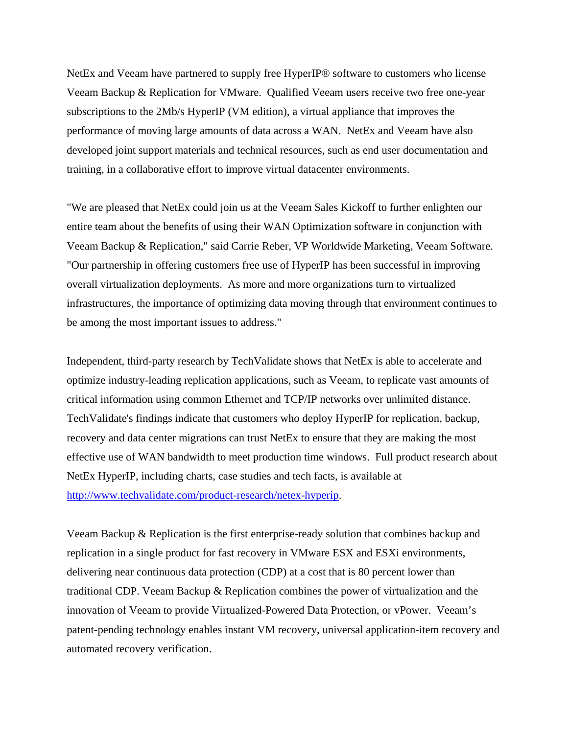NetEx and Veeam have partnered to supply free HyperIP® software to customers who license Veeam Backup & Replication for VMware. Qualified Veeam users receive two free one-year subscriptions to the 2Mb/s HyperIP (VM edition), a virtual appliance that improves the performance of moving large amounts of data across a WAN. NetEx and Veeam have also developed joint support materials and technical resources, such as end user documentation and training, in a collaborative effort to improve virtual datacenter environments.

"We are pleased that NetEx could join us at the Veeam Sales Kickoff to further enlighten our entire team about the benefits of using their WAN Optimization software in conjunction with Veeam Backup & Replication," said Carrie Reber, VP Worldwide Marketing, Veeam Software. "Our partnership in offering customers free use of HyperIP has been successful in improving overall virtualization deployments. As more and more organizations turn to virtualized infrastructures, the importance of optimizing data moving through that environment continues to be among the most important issues to address."

Independent, third-party research by TechValidate shows that NetEx is able to accelerate and optimize industry-leading replication applications, such as Veeam, to replicate vast amounts of critical information using common Ethernet and TCP/IP networks over unlimited distance. TechValidate's findings indicate that customers who deploy HyperIP for replication, backup, recovery and data center migrations can trust NetEx to ensure that they are making the most effective use of WAN bandwidth to meet production time windows. Full product research about NetEx HyperIP, including charts, case studies and tech facts, is available at <http://www.techvalidate.com/product-research/netex-hyperip>.

Veeam Backup & Replication is the first enterprise-ready solution that combines backup and replication in a single product for fast recovery in VMware ESX and ESXi environments, delivering near continuous data protection (CDP) at a cost that is 80 percent lower than traditional CDP. Veeam Backup & Replication combines the power of virtualization and the innovation of Veeam to provide Virtualized-Powered Data Protection, or vPower. Veeam's patent-pending technology enables instant VM recovery, universal application-item recovery and automated recovery verification.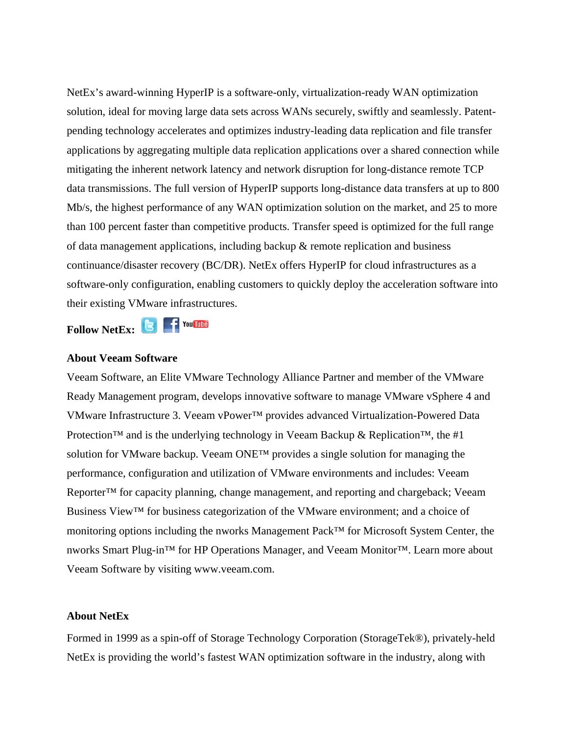NetEx's award-winning HyperIP is a software-only, virtualization-ready WAN optimization solution, ideal for moving large data sets across WANs securely, swiftly and seamlessly. Patentpending technology accelerates and optimizes industry-leading data replication and file transfer applications by aggregating multiple data replication applications over a shared connection while mitigating the inherent network latency and network disruption for long-distance remote TCP data transmissions. The full version of HyperIP supports long-distance data transfers at up to 800 Mb/s, the highest performance of any WAN optimization solution on the market, and 25 to more than 100 percent faster than competitive products. Transfer speed is optimized for the full range of data management applications, including backup & remote replication and business continuance/disaster recovery (BC/DR). NetEx offers HyperIP for cloud infrastructures as a software-only configuration, enabling customers to quickly deploy the acceleration software into their existing VMware infrastructures.

FollowNetEx: **B F** You **THE** 

## **About Veeam Software**

Veeam Software, an Elite VMware Technology Alliance Partner and member of the VMware Ready Management program, develops innovative software to manage VMware vSphere 4 and VMware Infrastructure 3. Veeam vPower™ provides advanced Virtualization-Powered Data Protection<sup>™</sup> and is the underlying technology in Veeam Backup & Replication<sup>™</sup>, the #1 solution for [VMware backup](http://www.veeam.com/vmware-esx-backup.html). Veeam ONE™ provides a single solution for managing the performance, configuration and utilization of VMware environments and includes: Veeam Reporter™ for [capacity planning,](http://www.veeam.com/vmware-esx-reporter.html) change management, and reporting and chargeback; Veeam Business View™ for [business categorization](http://www.veeam.com/vmware-business-view.html) of the VMware environment; and a choice of monitoring options including the [nworks Management Pack™](http://www.veeam.com/vmware-microsoft-esx-monitoring.html) for Microsoft System Center, the [nworks Smart Plug-in](http://www.veeam.com/vmware-esx-monitoring-hp-operations.html)™ for HP Operations Manager, and [Veeam Monitor](http://www.veeam.com/vmware-esx-monitoring.html)™. Learn more about Veeam Software by visiting [www.veeam.com](http://www.veeam.com/).

## **About NetEx**

Formed in 1999 as a spin-off of Storage Technology Corporation (StorageTek®), privately-held NetEx is providing the world's fastest WAN optimization software in the industry, along with